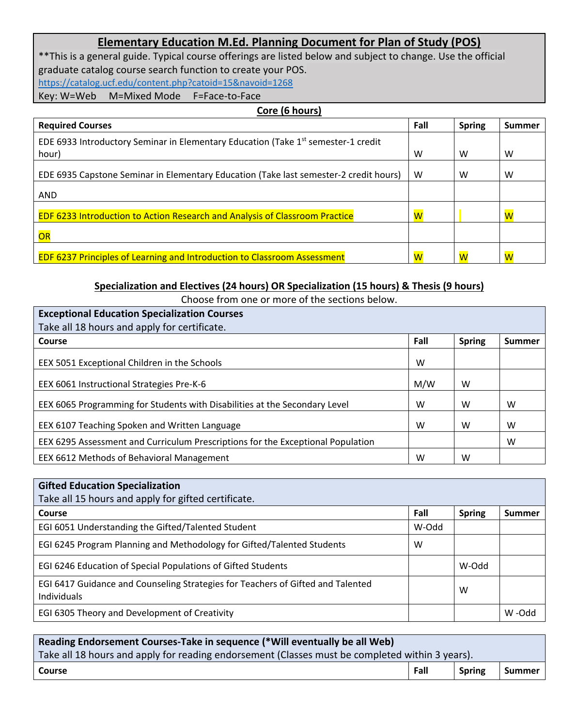# **Elementary Education M.Ed. Planning Document for Plan of Study (POS)**

\*\*This is a general guide. Typical course offerings are listed below and subject to change. Use the official graduate catalog course search function to create your POS. <https://catalog.ucf.edu/content.php?catoid=15&navoid=1268>

Key: W=Web M=Mixed Mode F=Face-to-Face

### **Core (6 hours)**

| <b>Required Courses</b>                                                                       | Fall                    | <b>Spring</b>           | <b>Summer</b>           |
|-----------------------------------------------------------------------------------------------|-------------------------|-------------------------|-------------------------|
| EDE 6933 Introductory Seminar in Elementary Education (Take 1 <sup>st</sup> semester-1 credit |                         |                         |                         |
| hour)                                                                                         | w                       | W                       | w                       |
| EDE 6935 Capstone Seminar in Elementary Education (Take last semester-2 credit hours)         | W                       | W                       | W                       |
| AND                                                                                           |                         |                         |                         |
| <b>EDF 6233 Introduction to Action Research and Analysis of Classroom Practice</b>            | $\overline{\mathsf{W}}$ |                         | $\overline{\mathsf{w}}$ |
| OR                                                                                            |                         |                         |                         |
| <b>EDF 6237 Principles of Learning and Introduction to Classroom Assessment</b>               | $\overline{\mathsf{W}}$ | $\overline{\mathsf{W}}$ | $\overline{\mathsf{W}}$ |

### **Specialization and Electives (24 hours) OR Specialization (15 hours) & Thesis (9 hours)**

| Choose from one or more of the sections below.                                  |      |               |        |
|---------------------------------------------------------------------------------|------|---------------|--------|
| <b>Exceptional Education Specialization Courses</b>                             |      |               |        |
| Take all 18 hours and apply for certificate.                                    |      |               |        |
| Course                                                                          | Fall | <b>Spring</b> | Summer |
| EEX 5051 Exceptional Children in the Schools                                    | W    |               |        |
| EEX 6061 Instructional Strategies Pre-K-6                                       | M/W  | W             |        |
| EEX 6065 Programming for Students with Disabilities at the Secondary Level      | W    | W             | W      |
| EEX 6107 Teaching Spoken and Written Language                                   | W    | W             | W      |
| EEX 6295 Assessment and Curriculum Prescriptions for the Exceptional Population |      |               | W      |
| EEX 6612 Methods of Behavioral Management                                       | W    | W             |        |

| <b>Gifted Education Specialization</b>                                                                |       |               |               |
|-------------------------------------------------------------------------------------------------------|-------|---------------|---------------|
| Take all 15 hours and apply for gifted certificate.                                                   |       |               |               |
| Course                                                                                                | Fall  | <b>Spring</b> | <b>Summer</b> |
| EGI 6051 Understanding the Gifted/Talented Student                                                    | W-Odd |               |               |
| EGI 6245 Program Planning and Methodology for Gifted/Talented Students                                | w     |               |               |
| EGI 6246 Education of Special Populations of Gifted Students                                          |       | W-Odd         |               |
| EGI 6417 Guidance and Counseling Strategies for Teachers of Gifted and Talented<br><b>Individuals</b> |       | W             |               |
| EGI 6305 Theory and Development of Creativity                                                         |       |               | bbO- W        |

| Reading Endorsement Courses-Take in sequence (*Will eventually be all Web)                      |      |               |        |
|-------------------------------------------------------------------------------------------------|------|---------------|--------|
| Take all 18 hours and apply for reading endorsement (Classes must be completed within 3 years). |      |               |        |
| Course                                                                                          | Fall | <b>Spring</b> | Summer |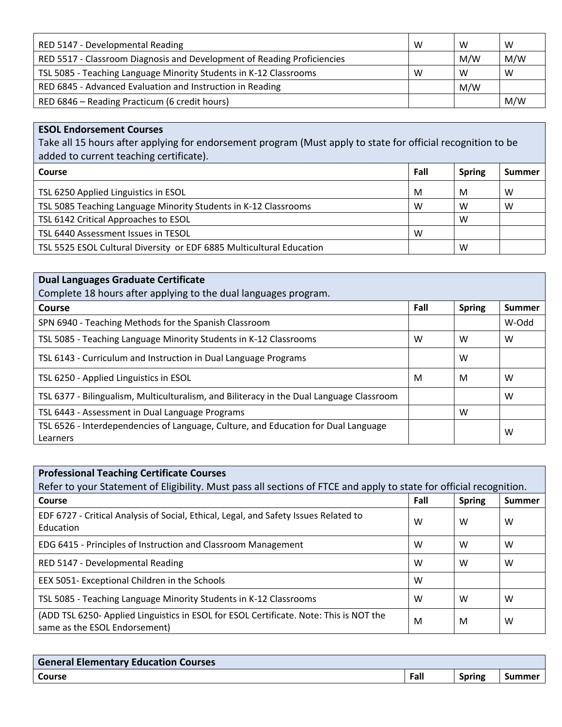| RED 5147 - Developmental Reading                                        | W | W   | W   |
|-------------------------------------------------------------------------|---|-----|-----|
| RED 5517 - Classroom Diagnosis and Development of Reading Proficiencies |   | M/W | M/W |
| TSL 5085 - Teaching Language Minority Students in K-12 Classrooms       | w | W   | W   |
| RED 6845 - Advanced Evaluation and Instruction in Reading               |   | M/W |     |
| RED 6846 - Reading Practicum (6 credit hours)                           |   |     | M/W |

## **ESOL Endorsement Courses**

Take all 15 hours after applying for endorsement program (Must apply to state for official recognition to be added to current teaching certificate).

| <b>Course</b>                                                        | Fall | <b>Spring</b> | <b>Summer</b> |
|----------------------------------------------------------------------|------|---------------|---------------|
| TSL 6250 Applied Linguistics in ESOL                                 | M    | M             | W             |
| TSL 5085 Teaching Language Minority Students in K-12 Classrooms      | w    | W             | W             |
| TSL 6142 Critical Approaches to ESOL                                 |      | W             |               |
| TSL 6440 Assessment Issues in TESOL                                  | W    |               |               |
| TSL 5525 ESOL Cultural Diversity or EDF 6885 Multicultural Education |      | W             |               |

| <b>Dual Languages Graduate Certificate</b>                                                     |      |               |        |
|------------------------------------------------------------------------------------------------|------|---------------|--------|
| Complete 18 hours after applying to the dual languages program.                                |      |               |        |
| Course                                                                                         | Fall | <b>Spring</b> | Summer |
| SPN 6940 - Teaching Methods for the Spanish Classroom                                          |      |               | W-Odd  |
| TSL 5085 - Teaching Language Minority Students in K-12 Classrooms                              | W    | W             | w      |
| TSL 6143 - Curriculum and Instruction in Dual Language Programs                                |      | W             |        |
| TSL 6250 - Applied Linguistics in ESOL                                                         | M    | M             | W      |
| TSL 6377 - Bilingualism, Multiculturalism, and Biliteracy in the Dual Language Classroom       |      |               | W      |
| TSL 6443 - Assessment in Dual Language Programs                                                |      | W             |        |
| TSL 6526 - Interdependencies of Language, Culture, and Education for Dual Language<br>Learners |      |               | w      |

| <b>Professional Teaching Certificate Courses</b>                                                                        |      |               |               |
|-------------------------------------------------------------------------------------------------------------------------|------|---------------|---------------|
| Refer to your Statement of Eligibility. Must pass all sections of FTCE and apply to state for official recognition.     |      |               |               |
| Course                                                                                                                  | Fall | <b>Spring</b> | <b>Summer</b> |
| EDF 6727 - Critical Analysis of Social, Ethical, Legal, and Safety Issues Related to<br>Education                       | W    | W             | W             |
| EDG 6415 - Principles of Instruction and Classroom Management                                                           | w    | W             | W             |
| RED 5147 - Developmental Reading                                                                                        | W    | W             | W             |
| EEX 5051- Exceptional Children in the Schools                                                                           | w    |               |               |
| TSL 5085 - Teaching Language Minority Students in K-12 Classrooms                                                       | w    | W             | W             |
| (ADD TSL 6250- Applied Linguistics in ESOL for ESOL Certificate. Note: This is NOT the<br>same as the ESOL Endorsement) | M    | M             | W             |

| <b>General Elementary Education Courses</b> |      |               |        |
|---------------------------------------------|------|---------------|--------|
| <b>Course</b>                               | Fall | <b>Spring</b> | Summer |